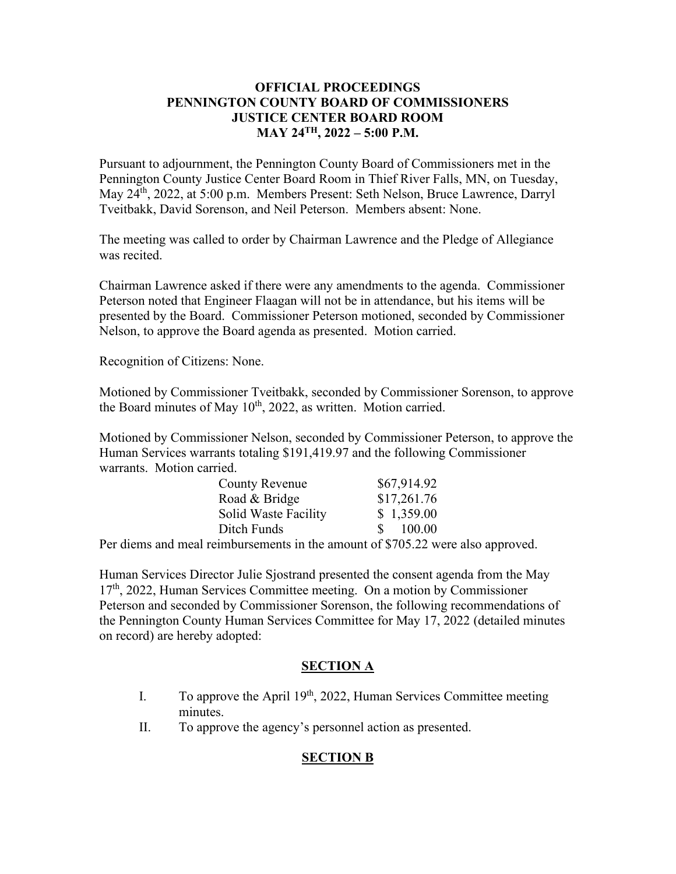## **OFFICIAL PROCEEDINGS PENNINGTON COUNTY BOARD OF COMMISSIONERS JUSTICE CENTER BOARD ROOM MAY 24TH, 2022 – 5:00 P.M.**

Pursuant to adjournment, the Pennington County Board of Commissioners met in the Pennington County Justice Center Board Room in Thief River Falls, MN, on Tuesday, May 24th, 2022, at 5:00 p.m. Members Present: Seth Nelson, Bruce Lawrence, Darryl Tveitbakk, David Sorenson, and Neil Peterson. Members absent: None.

The meeting was called to order by Chairman Lawrence and the Pledge of Allegiance was recited.

Chairman Lawrence asked if there were any amendments to the agenda. Commissioner Peterson noted that Engineer Flaagan will not be in attendance, but his items will be presented by the Board. Commissioner Peterson motioned, seconded by Commissioner Nelson, to approve the Board agenda as presented. Motion carried.

Recognition of Citizens: None.

Motioned by Commissioner Tveitbakk, seconded by Commissioner Sorenson, to approve the Board minutes of May  $10^{th}$ , 2022, as written. Motion carried.

Motioned by Commissioner Nelson, seconded by Commissioner Peterson, to approve the Human Services warrants totaling \$191,419.97 and the following Commissioner warrants. Motion carried.

| <b>County Revenue</b> | \$67,914.92             |
|-----------------------|-------------------------|
| Road & Bridge         | \$17,261.76             |
| Solid Waste Facility  | \$1,359.00              |
| Ditch Funds           | 100.00<br>$\mathcal{S}$ |

Per diems and meal reimbursements in the amount of \$705.22 were also approved.

Human Services Director Julie Sjostrand presented the consent agenda from the May  $17<sup>th</sup>$ , 2022, Human Services Committee meeting. On a motion by Commissioner Peterson and seconded by Commissioner Sorenson, the following recommendations of the Pennington County Human Services Committee for May 17, 2022 (detailed minutes on record) are hereby adopted:

## **SECTION A**

- I. To approve the April  $19<sup>th</sup>$ , 2022, Human Services Committee meeting minutes.
- II. To approve the agency's personnel action as presented.

# **SECTION B**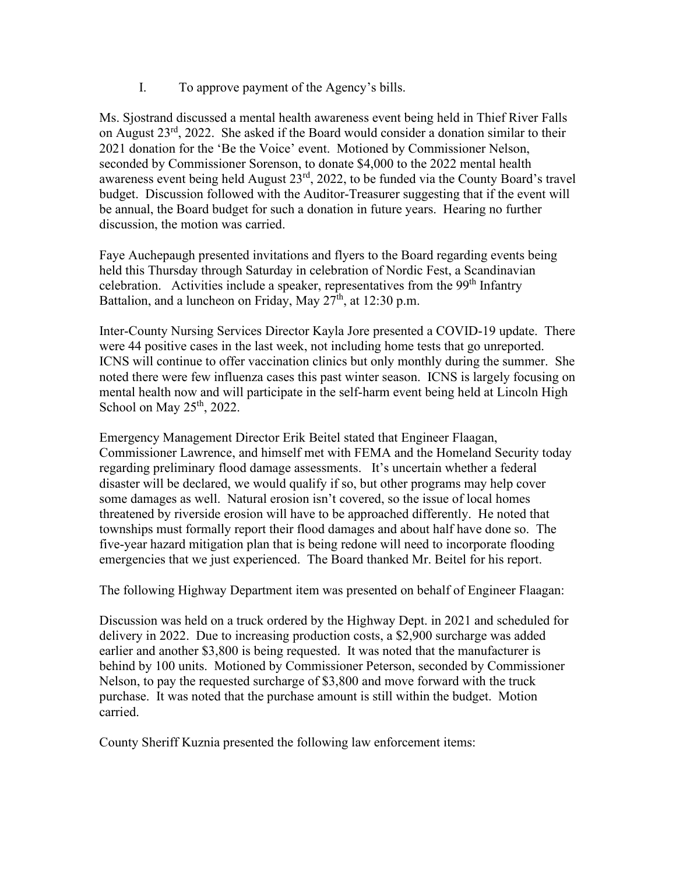I. To approve payment of the Agency's bills.

Ms. Sjostrand discussed a mental health awareness event being held in Thief River Falls on August 23rd, 2022. She asked if the Board would consider a donation similar to their 2021 donation for the 'Be the Voice' event. Motioned by Commissioner Nelson, seconded by Commissioner Sorenson, to donate \$4,000 to the 2022 mental health awareness event being held August  $23<sup>rd</sup>$ , 2022, to be funded via the County Board's travel budget. Discussion followed with the Auditor-Treasurer suggesting that if the event will be annual, the Board budget for such a donation in future years. Hearing no further discussion, the motion was carried.

Faye Auchepaugh presented invitations and flyers to the Board regarding events being held this Thursday through Saturday in celebration of Nordic Fest, a Scandinavian celebration. Activities include a speaker, representatives from the 99<sup>th</sup> Infantry Battalion, and a luncheon on Friday, May  $27<sup>th</sup>$ , at 12:30 p.m.

Inter-County Nursing Services Director Kayla Jore presented a COVID-19 update. There were 44 positive cases in the last week, not including home tests that go unreported. ICNS will continue to offer vaccination clinics but only monthly during the summer. She noted there were few influenza cases this past winter season. ICNS is largely focusing on mental health now and will participate in the self-harm event being held at Lincoln High School on May  $25<sup>th</sup>$ , 2022.

Emergency Management Director Erik Beitel stated that Engineer Flaagan, Commissioner Lawrence, and himself met with FEMA and the Homeland Security today regarding preliminary flood damage assessments. It's uncertain whether a federal disaster will be declared, we would qualify if so, but other programs may help cover some damages as well. Natural erosion isn't covered, so the issue of local homes threatened by riverside erosion will have to be approached differently. He noted that townships must formally report their flood damages and about half have done so. The five-year hazard mitigation plan that is being redone will need to incorporate flooding emergencies that we just experienced. The Board thanked Mr. Beitel for his report.

The following Highway Department item was presented on behalf of Engineer Flaagan:

Discussion was held on a truck ordered by the Highway Dept. in 2021 and scheduled for delivery in 2022. Due to increasing production costs, a \$2,900 surcharge was added earlier and another \$3,800 is being requested. It was noted that the manufacturer is behind by 100 units. Motioned by Commissioner Peterson, seconded by Commissioner Nelson, to pay the requested surcharge of \$3,800 and move forward with the truck purchase. It was noted that the purchase amount is still within the budget. Motion carried.

County Sheriff Kuznia presented the following law enforcement items: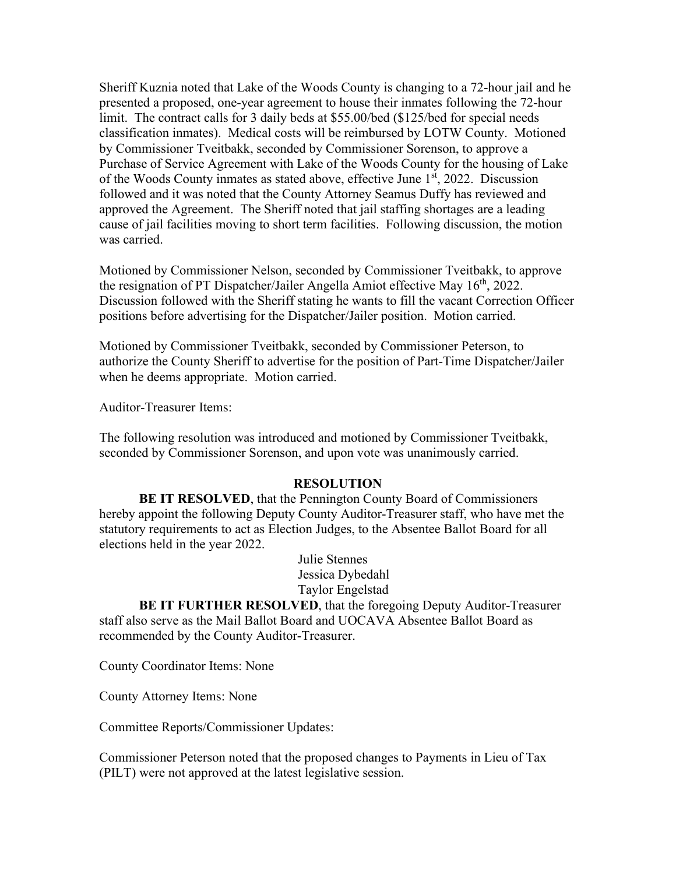Sheriff Kuznia noted that Lake of the Woods County is changing to a 72-hour jail and he presented a proposed, one-year agreement to house their inmates following the 72-hour limit. The contract calls for 3 daily beds at \$55.00/bed (\$125/bed for special needs classification inmates). Medical costs will be reimbursed by LOTW County. Motioned by Commissioner Tveitbakk, seconded by Commissioner Sorenson, to approve a Purchase of Service Agreement with Lake of the Woods County for the housing of Lake of the Woods County inmates as stated above, effective June  $1<sup>st</sup>$ , 2022. Discussion followed and it was noted that the County Attorney Seamus Duffy has reviewed and approved the Agreement. The Sheriff noted that jail staffing shortages are a leading cause of jail facilities moving to short term facilities. Following discussion, the motion was carried.

Motioned by Commissioner Nelson, seconded by Commissioner Tveitbakk, to approve the resignation of PT Dispatcher/Jailer Angella Amiot effective May  $16<sup>th</sup>$ , 2022. Discussion followed with the Sheriff stating he wants to fill the vacant Correction Officer positions before advertising for the Dispatcher/Jailer position. Motion carried.

Motioned by Commissioner Tveitbakk, seconded by Commissioner Peterson, to authorize the County Sheriff to advertise for the position of Part-Time Dispatcher/Jailer when he deems appropriate. Motion carried.

Auditor-Treasurer Items:

The following resolution was introduced and motioned by Commissioner Tveitbakk, seconded by Commissioner Sorenson, and upon vote was unanimously carried.

#### **RESOLUTION**

**BE IT RESOLVED**, that the Pennington County Board of Commissioners hereby appoint the following Deputy County Auditor-Treasurer staff, who have met the statutory requirements to act as Election Judges, to the Absentee Ballot Board for all elections held in the year 2022.

> Julie Stennes Jessica Dybedahl Taylor Engelstad

**BE IT FURTHER RESOLVED**, that the foregoing Deputy Auditor-Treasurer staff also serve as the Mail Ballot Board and UOCAVA Absentee Ballot Board as recommended by the County Auditor-Treasurer.

County Coordinator Items: None

County Attorney Items: None

Committee Reports/Commissioner Updates:

Commissioner Peterson noted that the proposed changes to Payments in Lieu of Tax (PILT) were not approved at the latest legislative session.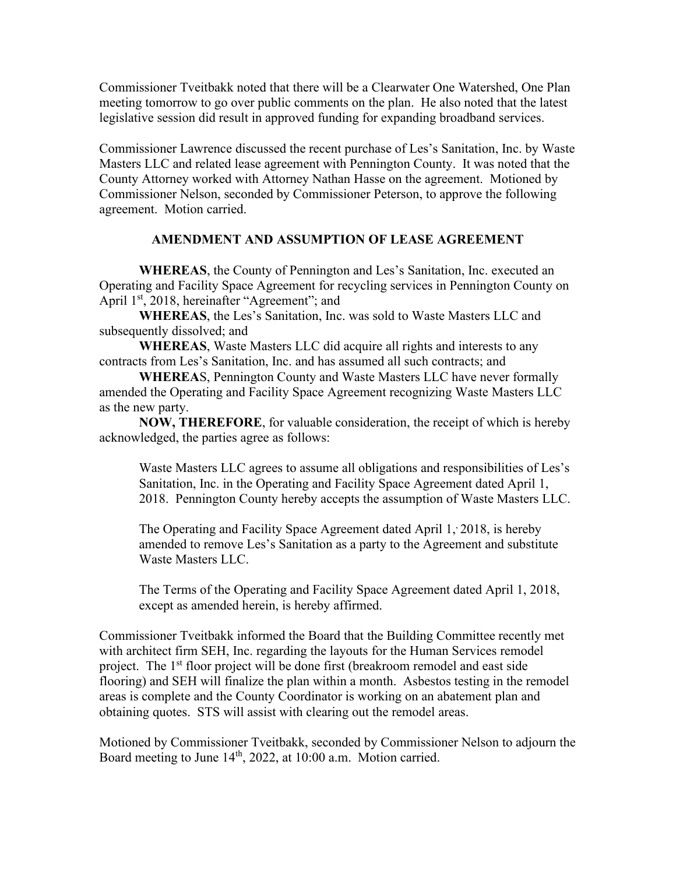Commissioner Tveitbakk noted that there will be a Clearwater One Watershed, One Plan meeting tomorrow to go over public comments on the plan. He also noted that the latest legislative session did result in approved funding for expanding broadband services.

Commissioner Lawrence discussed the recent purchase of Les's Sanitation, Inc. by Waste Masters LLC and related lease agreement with Pennington County. It was noted that the County Attorney worked with Attorney Nathan Hasse on the agreement. Motioned by Commissioner Nelson, seconded by Commissioner Peterson, to approve the following agreement. Motion carried.

## **AMENDMENT AND ASSUMPTION OF LEASE AGREEMENT**

**WHEREAS**, the County of Pennington and Les's Sanitation, Inc. executed an Operating and Facility Space Agreement for recycling services in Pennington County on April 1<sup>st</sup>, 2018, hereinafter "Agreement"; and

**WHEREAS**, the Les's Sanitation, Inc. was sold to Waste Masters LLC and subsequently dissolved; and

**WHEREAS**, Waste Masters LLC did acquire all rights and interests to any contracts from Les's Sanitation, Inc. and has assumed all such contracts; and

**WHEREA**S, Pennington County and Waste Masters LLC have never formally amended the Operating and Facility Space Agreement recognizing Waste Masters LLC as the new party.

**NOW, THEREFORE**, for valuable consideration, the receipt of which is hereby acknowledged, the parties agree as follows:

Waste Masters LLC agrees to assume all obligations and responsibilities of Les's Sanitation, Inc. in the Operating and Facility Space Agreement dated April 1, 2018. Pennington County hereby accepts the assumption of Waste Masters LLC.

The Operating and Facility Space Agreement dated April 1, 2018, is hereby amended to remove Les's Sanitation as a party to the Agreement and substitute Waste Masters LLC.

The Terms of the Operating and Facility Space Agreement dated April 1, 2018, except as amended herein, is hereby affirmed.

Commissioner Tveitbakk informed the Board that the Building Committee recently met with architect firm SEH, Inc. regarding the layouts for the Human Services remodel project. The 1<sup>st</sup> floor project will be done first (breakroom remodel and east side flooring) and SEH will finalize the plan within a month. Asbestos testing in the remodel areas is complete and the County Coordinator is working on an abatement plan and obtaining quotes. STS will assist with clearing out the remodel areas.

Motioned by Commissioner Tveitbakk, seconded by Commissioner Nelson to adjourn the Board meeting to June 14<sup>th</sup>, 2022, at 10:00 a.m. Motion carried.